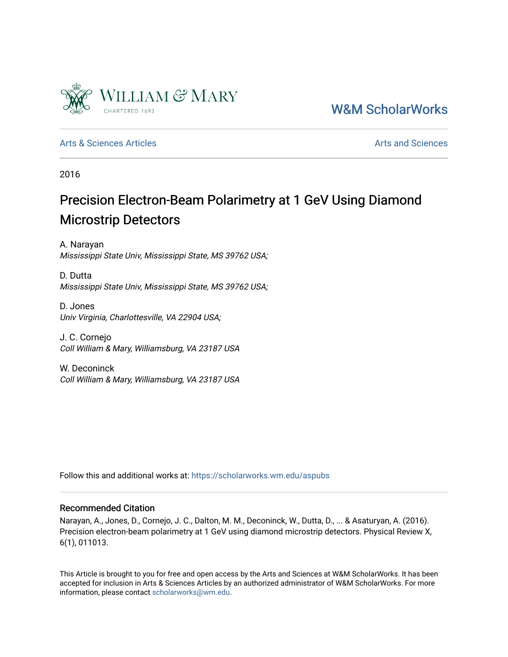

[W&M ScholarWorks](https://scholarworks.wm.edu/) 

[Arts & Sciences Articles](https://scholarworks.wm.edu/aspubs) **Articles** Articles [Arts and Sciences](https://scholarworks.wm.edu/as) Arts and Sciences Arts and Sciences Arts and Sciences

2016

# Precision Electron-Beam Polarimetry at 1 GeV Using Diamond Microstrip Detectors

A. Narayan Mississippi State Univ, Mississippi State, MS 39762 USA;

D. Dutta Mississippi State Univ, Mississippi State, MS 39762 USA;

D. Jones Univ Virginia, Charlottesville, VA 22904 USA;

J. C. Cornejo Coll William & Mary, Williamsburg, VA 23187 USA

W. Deconinck Coll William & Mary, Williamsburg, VA 23187 USA

Follow this and additional works at: [https://scholarworks.wm.edu/aspubs](https://scholarworks.wm.edu/aspubs?utm_source=scholarworks.wm.edu%2Faspubs%2F767&utm_medium=PDF&utm_campaign=PDFCoverPages) 

# Recommended Citation

Narayan, A., Jones, D., Cornejo, J. C., Dalton, M. M., Deconinck, W., Dutta, D., ... & Asaturyan, A. (2016). Precision electron-beam polarimetry at 1 GeV using diamond microstrip detectors. Physical Review X, 6(1), 011013.

This Article is brought to you for free and open access by the Arts and Sciences at W&M ScholarWorks. It has been accepted for inclusion in Arts & Sciences Articles by an authorized administrator of W&M ScholarWorks. For more information, please contact [scholarworks@wm.edu](mailto:scholarworks@wm.edu).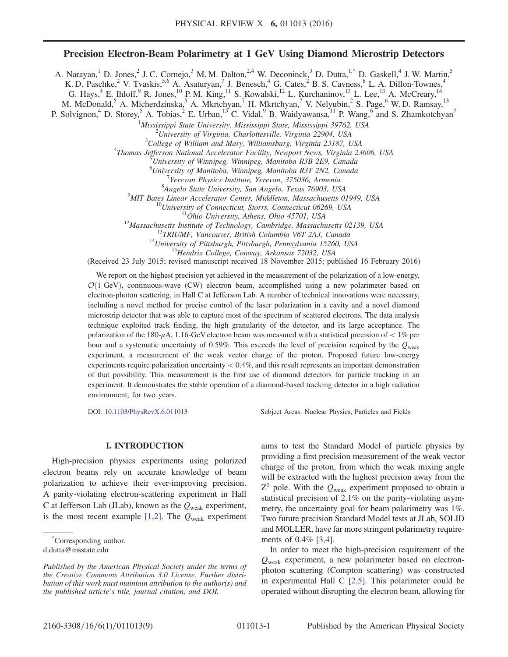# Precision Electron-Beam Polarimetry at 1 GeV Using Diamond Microstrip Detectors

<span id="page-1-1"></span>A. Narayan,<sup>1</sup> D. Jones,<sup>2</sup> J. C. Cornejo,<sup>3</sup> M. M. Dalton,<sup>2,4</sup> W. Deconinck,<sup>3</sup> D. Dutta,<sup>[1,\\*](#page-1-0)</sup> D. Gaskell,<sup>4</sup> J. W. Martin,<sup>5</sup> K. D. Paschke,<sup>2</sup> V. Tvaskis,<sup>5,6</sup> A. Asaturyan,<sup>7</sup> J. Benesch,<sup>4</sup> G. Cates,<sup>2</sup> B. S. Cavness,<sup>8</sup> L. A. Dillon-Townes,<sup>4</sup>

G. Hays,<sup>4</sup> E. Ihloff,<sup>9</sup> R. Jones,<sup>10</sup> P.M. King,<sup>11</sup> S. Kowalski,<sup>12</sup> L. Kurchaninov,<sup>13</sup> L. Lee,<sup>13</sup> A. McCreary,<sup>14</sup>

M. McDonald,<sup>5</sup> A. Micherdzinska,<sup>5</sup> A. Mkrtchyan,<sup>7</sup> H. Mkrtchyan,<sup>7</sup> V. Nelyubin,<sup>2</sup> S. Page,<sup>6</sup> W. D. Ramsay,<sup>13</sup>

P. Solvignon,<sup>4</sup> D. Storey,<sup>5</sup> A. Tobias,<sup>2</sup> E. Urban,<sup>15</sup> C. Vidal,<sup>9</sup> B. Waidyawansa,<sup>11</sup> P. Wang,<sup>6</sup> and S. Zhamkotchyan<sup>7</sup>

<sup>1</sup>Mississippi State University, Mississippi State, Mississippi 39762, USA  $\frac{2I_{\text{Linear}}}{I}$ 

 $10^2$ University of Virginia, Charlottesville, Virginia 22904, USA

 ${}^{3}$ College of William and Mary, Williamsburg, Virginia 23187, USA

<sup>4</sup>Thomas Jefferson National Accelerator Facility, Newport News, Virginia 23606, USA

University of Winnipeg, Winnipeg, Manitoba R3B 2E9, Canada

<sup>6</sup> University of Manitoba, Winnipeg, Manitoba R3T 2N2, Canada

<sup>7</sup>Yerevan Physics Institute, Yerevan, 375036, Armenia

 $^{8}$ Angelo State University, San Angelo, Texas 76903, USA<br> $^{9}$ MIT Bates Linear Accelerator Center, Middleton, Massachusetts 01949, USA

<sup>10</sup>University of Connecticut, Storrs, Connecticut 06269, USA<br><sup>11</sup>Ohio University, Athens, Ohio 45701, USA<br><sup>12</sup>Massachusetts Institute of Technology, Cambridge, Massachusetts 02139, USA<br><sup>13</sup>TRIUMF, Vancouver, British Colu

(Received 23 July 2015; revised manuscript received 18 November 2015; published 16 February 2016)

We report on the highest precision yet achieved in the measurement of the polarization of a low-energy,  $\mathcal{O}(1 \text{ GeV})$ , continuous-wave (CW) electron beam, accomplished using a new polarimeter based on electron-photon scattering, in Hall C at Jefferson Lab. A number of technical innovations were necessary, including a novel method for precise control of the laser polarization in a cavity and a novel diamond microstrip detector that was able to capture most of the spectrum of scattered electrons. The data analysis technique exploited track finding, the high granularity of the detector, and its large acceptance. The polarization of the 180- $\mu$ A, 1.16-GeV electron beam was measured with a statistical precision of  $< 1\%$  per hour and a systematic uncertainty of 0.59%. This exceeds the level of precision required by the  $Q_{weak}$ experiment, a measurement of the weak vector charge of the proton. Proposed future low-energy experiments require polarization uncertainty < 0.4%, and this result represents an important demonstration of that possibility. This measurement is the first use of diamond detectors for particle tracking in an experiment. It demonstrates the stable operation of a diamond-based tracking detector in a high radiation environment, for two years.

DOI: [10.1103/PhysRevX.6.011013](http://dx.doi.org/10.1103/PhysRevX.6.011013) Subject Areas: Nuclear Physics, Particles and Fields

#### I. INTRODUCTION

High-precision physics experiments using polarized electron beams rely on accurate knowledge of beam polarization to achieve their ever-improving precision. A parity-violating electron-scattering experiment in Hall C at Jefferson Lab (JLab), known as the  $Q_{weak}$  experiment, is the most recent example [\[1,2\]](#page-8-0). The  $Q_{\text{weak}}$  experiment

<span id="page-1-0"></span>[\\*](#page-1-1) Corresponding author.

aims to test the Standard Model of particle physics by providing a first precision measurement of the weak vector charge of the proton, from which the weak mixing angle will be extracted with the highest precision away from the  $Z^0$  pole. With the  $Q_{weak}$  experiment proposed to obtain a statistical precision of 2.1% on the parity-violating asymmetry, the uncertainty goal for beam polarimetry was 1%. Two future precision Standard Model tests at JLab, SOLID and MOLLER, have far more stringent polarimetry requirements of 0.4% [\[3,4\]](#page-8-1).

In order to meet the high-precision requirement of the  $Q_{weak}$  experiment, a new polarimeter based on electronphoton scattering (Compton scattering) was constructed in experimental Hall C [\[2,5\]](#page-8-2). This polarimeter could be operated without disrupting the electron beam, allowing for

d.dutta@msstate.edu

Published by the American Physical Society under the terms of the [Creative Commons Attribution 3.0 License.](http://creativecommons.org/licenses/by/3.0/) Further distribution of this work must maintain attribution to the author(s) and the published article's title, journal citation, and DOI.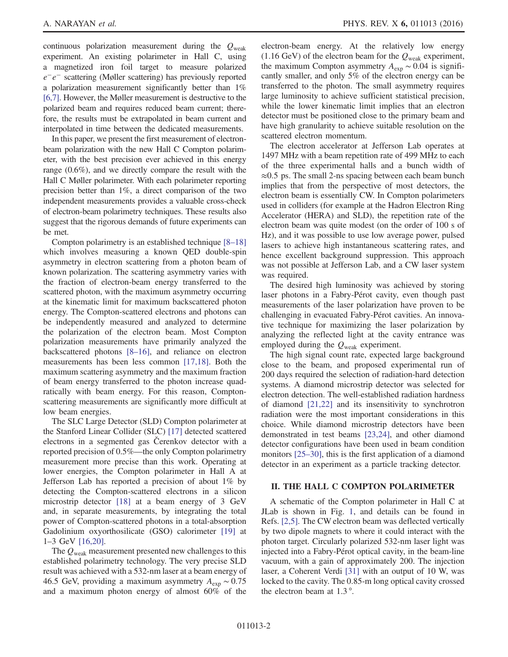continuous polarization measurement during the  $Q_{weak}$ experiment. An existing polarimeter in Hall C, using a magnetized iron foil target to measure polarized e−e<sup>−</sup> scattering (Møller scattering) has previously reported a polarization measurement significantly better than 1% [\[6,7\]](#page-8-3). However, the Møller measurement is destructive to the polarized beam and requires reduced beam current; therefore, the results must be extrapolated in beam current and interpolated in time between the dedicated measurements.

In this paper, we present the first measurement of electronbeam polarization with the new Hall C Compton polarimeter, with the best precision ever achieved in this energy range (0.6%), and we directly compare the result with the Hall C Møller polarimeter. With each polarimeter reporting precision better than 1%, a direct comparison of the two independent measurements provides a valuable cross-check of electron-beam polarimetry techniques. These results also suggest that the rigorous demands of future experiments can be met.

Compton polarimetry is an established technique [8–[18\]](#page-8-4) which involves measuring a known QED double-spin asymmetry in electron scattering from a photon beam of known polarization. The scattering asymmetry varies with the fraction of electron-beam energy transferred to the scattered photon, with the maximum asymmetry occurring at the kinematic limit for maximum backscattered photon energy. The Compton-scattered electrons and photons can be independently measured and analyzed to determine the polarization of the electron beam. Most Compton polarization measurements have primarily analyzed the backscattered photons [8–[16\]](#page-8-4), and reliance on electron measurements has been less common [\[17,18\].](#page-8-5) Both the maximum scattering asymmetry and the maximum fraction of beam energy transferred to the photon increase quadratically with beam energy. For this reason, Comptonscattering measurements are significantly more difficult at low beam energies.

The SLC Large Detector (SLD) Compton polarimeter at the Stanford Linear Collider (SLC) [\[17\]](#page-8-5) detected scattered electrons in a segmented gas Čerenkov detector with a reported precision of 0.5%—the only Compton polarimetry measurement more precise than this work. Operating at lower energies, the Compton polarimeter in Hall A at Jefferson Lab has reported a precision of about 1% by detecting the Compton-scattered electrons in a silicon microstrip detector [\[18\]](#page-8-6) at a beam energy of 3 GeV and, in separate measurements, by integrating the total power of Compton-scattered photons in a total-absorption Gadolinium oxyorthosilicate (GSO) calorimeter [\[19\]](#page-8-7) at 1–3 GeV [\[16,20\]](#page-8-8).

The  $Q_{\text{weak}}$  measurement presented new challenges to this established polarimetry technology. The very precise SLD result was achieved with a 532-nm laser at a beam energy of 46.5 GeV, providing a maximum asymmetry  $A_{\rm exp} \sim 0.75$ and a maximum photon energy of almost 60% of the electron-beam energy. At the relatively low energy  $(1.16 \text{ GeV})$  of the electron beam for the  $Q_{\text{weak}}$  experiment, the maximum Compton asymmetry  $A_{\rm exp} \sim 0.04$  is significantly smaller, and only 5% of the electron energy can be transferred to the photon. The small asymmetry requires large luminosity to achieve sufficient statistical precision, while the lower kinematic limit implies that an electron detector must be positioned close to the primary beam and have high granularity to achieve suitable resolution on the scattered electron momentum.

The electron accelerator at Jefferson Lab operates at 1497 MHz with a beam repetition rate of 499 MHz to each of the three experimental halls and a bunch width of ≈0.5 ps. The small 2-ns spacing between each beam bunch implies that from the perspective of most detectors, the electron beam is essentially CW. In Compton polarimeters used in colliders (for example at the Hadron Electron Ring Accelerator (HERA) and SLD), the repetition rate of the electron beam was quite modest (on the order of 100 s of Hz), and it was possible to use low average power, pulsed lasers to achieve high instantaneous scattering rates, and hence excellent background suppression. This approach was not possible at Jefferson Lab, and a CW laser system was required.

The desired high luminosity was achieved by storing laser photons in a Fabry-Pérot cavity, even though past measurements of the laser polarization have proven to be challenging in evacuated Fabry-Pérot cavities. An innovative technique for maximizing the laser polarization by analyzing the reflected light at the cavity entrance was employed during the  $Q_{\text{weak}}$  experiment.

The high signal count rate, expected large background close to the beam, and proposed experimental run of 200 days required the selection of radiation-hard detection systems. A diamond microstrip detector was selected for electron detection. The well-established radiation hardness of diamond [\[21,22\]](#page-8-9) and its insensitivity to synchrotron radiation were the most important considerations in this choice. While diamond microstrip detectors have been demonstrated in test beams [\[23,24\],](#page-8-10) and other diamond detector configurations have been used in beam condition monitors [25–[30\],](#page-8-11) this is the first application of a diamond detector in an experiment as a particle tracking detector.

## II. THE HALL C COMPTON POLARIMETER

A schematic of the Compton polarimeter in Hall C at JLab is shown in Fig. [1](#page-3-0), and details can be found in Refs. [\[2,5\]](#page-8-2). The CW electron beam was deflected vertically by two dipole magnets to where it could interact with the photon target. Circularly polarized 532-nm laser light was injected into a Fabry-Pérot optical cavity, in the beam-line vacuum, with a gain of approximately 200. The injection laser, a Coherent Verdi [\[31\]](#page-9-0) with an output of 10 W, was locked to the cavity. The 0.85-m long optical cavity crossed the electron beam at 1.3 °.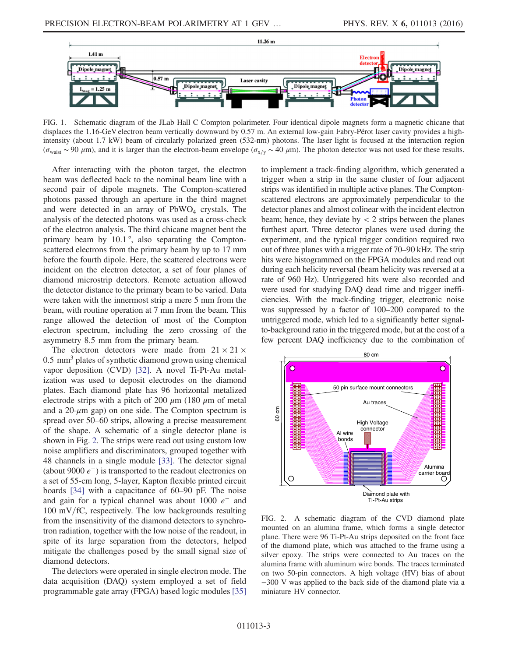<span id="page-3-0"></span>

FIG. 1. Schematic diagram of the JLab Hall C Compton polarimeter. Four identical dipole magnets form a magnetic chicane that displaces the 1.16-GeV electron beam vertically downward by 0.57 m. An external low-gain Fabry-Pérot laser cavity provides a highintensity (about 1.7 kW) beam of circularly polarized green (532-nm) photons. The laser light is focused at the interaction region  $(\sigma_{\text{wait}} \sim 90 \mu \text{m})$ , and it is larger than the electron-beam envelope  $(\sigma_{x/y} \sim 40 \mu \text{m})$ . The photon detector was not used for these results.

After interacting with the photon target, the electron beam was deflected back to the nominal beam line with a second pair of dipole magnets. The Compton-scattered photons passed through an aperture in the third magnet and were detected in an array of  $PbWO<sub>4</sub>$  crystals. The analysis of the detected photons was used as a cross-check of the electron analysis. The third chicane magnet bent the primary beam by 10.1°, also separating the Comptonscattered electrons from the primary beam by up to 17 mm before the fourth dipole. Here, the scattered electrons were incident on the electron detector, a set of four planes of diamond microstrip detectors. Remote actuation allowed the detector distance to the primary beam to be varied. Data were taken with the innermost strip a mere 5 mm from the beam, with routine operation at 7 mm from the beam. This range allowed the detection of most of the Compton electron spectrum, including the zero crossing of the asymmetry 8.5 mm from the primary beam.

The electron detectors were made from  $21 \times 21 \times$ 0.5 mm<sup>3</sup> plates of synthetic diamond grown using chemical vapor deposition (CVD) [\[32\]](#page-9-1). A novel Ti-Pt-Au metalization was used to deposit electrodes on the diamond plates. Each diamond plate has 96 horizontal metalized electrode strips with a pitch of 200  $\mu$ m (180  $\mu$ m of metal and a  $20-\mu m$  gap) on one side. The Compton spectrum is spread over 50–60 strips, allowing a precise measurement of the shape. A schematic of a single detector plane is shown in Fig. [2.](#page-3-1) The strips were read out using custom low noise amplifiers and discriminators, grouped together with 48 channels in a single module [\[33\]](#page-9-2). The detector signal (about 9000  $e^-$ ) is transported to the readout electronics on a set of 55-cm long, 5-layer, Kapton flexible printed circuit boards [\[34\]](#page-9-3) with a capacitance of 60–90 pF. The noise and gain for a typical channel was about  $1000 e^-$  and  $100$  mV/fC, respectively. The low backgrounds resulting from the insensitivity of the diamond detectors to synchrotron radiation, together with the low noise of the readout, in spite of its large separation from the detectors, helped mitigate the challenges posed by the small signal size of diamond detectors.

The detectors were operated in single electron mode. The data acquisition (DAQ) system employed a set of field programmable gate array (FPGA) based logic modules [\[35\]](#page-9-4) to implement a track-finding algorithm, which generated a trigger when a strip in the same cluster of four adjacent strips was identified in multiple active planes. The Comptonscattered electrons are approximately perpendicular to the detector planes and almost colinear with the incident electron beam; hence, they deviate by  $\lt 2$  strips between the planes furthest apart. Three detector planes were used during the experiment, and the typical trigger condition required two out of three planes with a trigger rate of 70–90 kHz. The strip hits were histogrammed on the FPGA modules and read out during each helicity reversal (beam helicity was reversed at a rate of 960 Hz). Untriggered hits were also recorded and were used for studying DAQ dead time and trigger inefficiencies. With the track-finding trigger, electronic noise was suppressed by a factor of 100–200 compared to the untriggered mode, which led to a significantly better signalto-background ratio in the triggered mode, but at the cost of a few percent DAQ inefficiency due to the combination of

<span id="page-3-1"></span>

FIG. 2. A schematic diagram of the CVD diamond plate mounted on an alumina frame, which forms a single detector plane. There were 96 Ti-Pt-Au strips deposited on the front face of the diamond plate, which was attached to the frame using a silver epoxy. The strips were connected to Au traces on the alumina frame with aluminum wire bonds. The traces terminated on two 50-pin connectors. A high voltage (HV) bias of about −300 V was applied to the back side of the diamond plate via a miniature HV connector.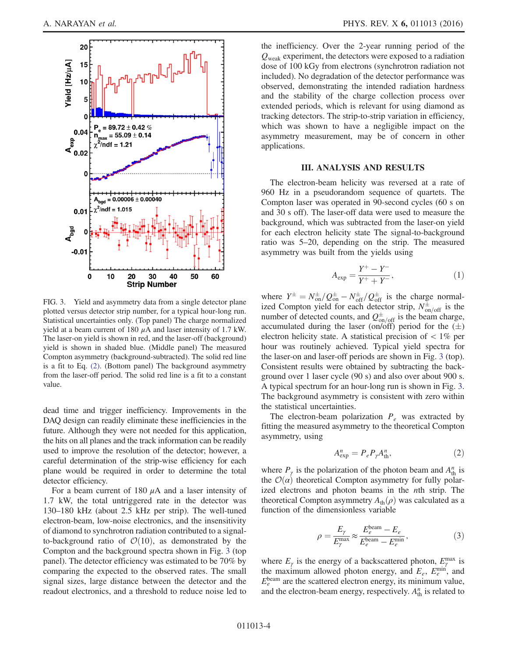<span id="page-4-0"></span>

FIG. 3. Yield and asymmetry data from a single detector plane plotted versus detector strip number, for a typical hour-long run. Statistical uncertainties only. (Top panel) The charge normalized yield at a beam current of 180  $\mu$ A and laser intensity of 1.7 kW. The laser-on yield is shown in red, and the laser-off (background) yield is shown in shaded blue. (Middle panel) The measured Compton asymmetry (background-subtracted). The solid red line is a fit to Eq. [\(2\)](#page-4-1). (Bottom panel) The background asymmetry from the laser-off period. The solid red line is a fit to a constant value.

dead time and trigger inefficiency. Improvements in the DAQ design can readily eliminate these inefficiencies in the future. Although they were not needed for this application, the hits on all planes and the track information can be readily used to improve the resolution of the detector; however, a careful determination of the strip-wise efficiency for each plane would be required in order to determine the total detector efficiency.

For a beam current of 180  $\mu$ A and a laser intensity of 1.7 kW, the total untriggered rate in the detector was 130–180 kHz (about 2.5 kHz per strip). The well-tuned electron-beam, low-noise electronics, and the insensitivity of diamond to synchrotron radiation contributed to a signalto-background ratio of  $\mathcal{O}(10)$ , as demonstrated by the Compton and the background spectra shown in Fig. [3](#page-4-0) (top panel). The detector efficiency was estimated to be 70% by comparing the expected to the observed rates. The small signal sizes, large distance between the detector and the readout electronics, and a threshold to reduce noise led to the inefficiency. Over the 2-year running period of the  $Q_{\text{weak}}$  experiment, the detectors were exposed to a radiation dose of 100 kGy from electrons (synchrotron radiation not included). No degradation of the detector performance was observed, demonstrating the intended radiation hardness and the stability of the charge collection process over extended periods, which is relevant for using diamond as tracking detectors. The strip-to-strip variation in efficiency, which was shown to have a negligible impact on the asymmetry measurement, may be of concern in other applications.

### III. ANALYSIS AND RESULTS

The electron-beam helicity was reversed at a rate of 960 Hz in a pseudorandom sequence of quartets. The Compton laser was operated in 90-second cycles (60 s on and 30 s off). The laser-off data were used to measure the background, which was subtracted from the laser-on yield for each electron helicity state The signal-to-background ratio was 5–20, depending on the strip. The measured asymmetry was built from the yields using

$$
A_{\exp} = \frac{Y^+ - Y^-}{Y^+ + Y^-},\tag{1}
$$

where  $Y^{\pm} = N_{\text{on}}^{\pm}/Q_{\text{on}}^{\pm} - N_{\text{off}}^{\pm}/Q_{\text{off}}^{\pm}$  is the charge normalized Compton yield for each detector strip,  $N_{\text{on/off}}^{\pm}$  is the number of detected counts, and  $Q_{on/off}^{\pm}$  is the beam charge, accumulated during the laser (on/off) period for the  $(\pm)$ electron helicity state. A statistical precision of  $\lt 1\%$  per hour was routinely achieved. Typical yield spectra for the laser-on and laser-off periods are shown in Fig. [3](#page-4-0) (top). Consistent results were obtained by subtracting the background over 1 laser cycle (90 s) and also over about 900 s. A typical spectrum for an hour-long run is shown in Fig. [3](#page-4-0). The background asymmetry is consistent with zero within the statistical uncertainties.

<span id="page-4-1"></span>The electron-beam polarization  $P_e$  was extracted by fitting the measured asymmetry to the theoretical Compton asymmetry, using

$$
A_{\exp}^n = P_e P_\gamma A_{\text{th}}^n,\tag{2}
$$

where  $P_{\gamma}$  is the polarization of the photon beam and  $A_{\text{th}}^{n}$  is the  $\mathcal{O}(\alpha)$  theoretical Compton asymmetry for fully polarized electrons and photon beams in the nth strip. The theoretical Compton asymmetry  $A_{\text{th}}(\rho)$  was calculated as a function of the dimensionless variable

$$
\rho = \frac{E_{\gamma}}{E_{\gamma}^{\text{max}}} \approx \frac{E_e^{\text{beam}} - E_e}{E_e^{\text{beam}} - E_e^{\text{min}}},\tag{3}
$$

where  $E_{\gamma}$  is the energy of a backscattered photon,  $E_{\gamma}^{\text{max}}$  is the maximum allowed photon energy, and  $E_e$ ,  $E_e^{\text{min}}$ , and  $E_e^{\text{beam}}$  are the scattered electron energy, its minimum value, and the electron-beam energy, respectively.  $A_{\text{th}}^n$  is related to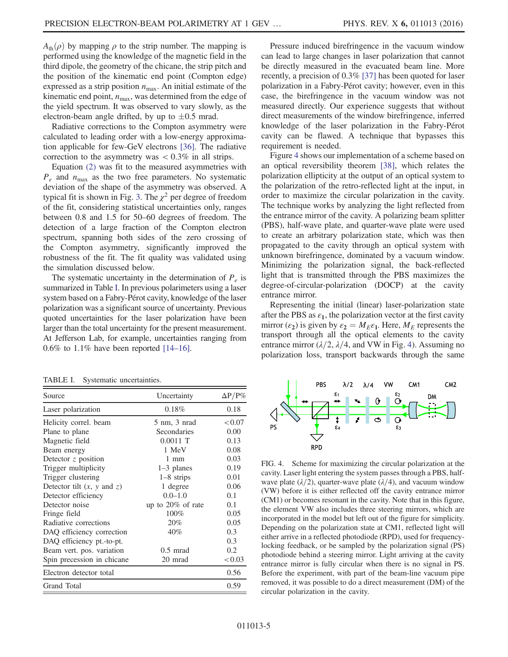$A_{\text{th}}(\rho)$  by mapping  $\rho$  to the strip number. The mapping is performed using the knowledge of the magnetic field in the third dipole, the geometry of the chicane, the strip pitch and the position of the kinematic end point (Compton edge) expressed as a strip position  $n_{\text{max}}$ . An initial estimate of the kinematic end point,  $n_{\text{max}}$ , was determined from the edge of the yield spectrum. It was observed to vary slowly, as the electron-beam angle drifted, by up to  $\pm 0.5$  mrad.

Radiative corrections to the Compton asymmetry were calculated to leading order with a low-energy approximation applicable for few-GeV electrons [\[36\]](#page-9-5). The radiative correction to the asymmetry was  $< 0.3\%$  in all strips.

Equation [\(2\)](#page-4-1) was fit to the measured asymmetries with  $P_e$  and  $n_{\text{max}}$  as the two free parameters. No systematic deviation of the shape of the asymmetry was observed. A typical fit is shown in Fig. [3](#page-4-0). The  $\chi^2$  per degree of freedom of the fit, considering statistical uncertainties only, ranges between 0.8 and 1.5 for 50–60 degrees of freedom. The detection of a large fraction of the Compton electron spectrum, spanning both sides of the zero crossing of the Compton asymmetry, significantly improved the robustness of the fit. The fit quality was validated using the simulation discussed below.

The systematic uncertainty in the determination of  $P_e$  is summarized in Table [I.](#page-5-0) In previous polarimeters using a laser system based on a Fabry-Pérot cavity, knowledge of the laser polarization was a significant source of uncertainty. Previous quoted uncertainties for the laser polarization have been larger than the total uncertainty for the present measurement. At Jefferson Lab, for example, uncertainties ranging from  $0.6\%$  to  $1.1\%$  have been reported [14–[16\].](#page-8-12)

<span id="page-5-0"></span>TABLE I. Systematic uncertainties.

| Source                                | Uncertainty          | $\Delta P/P\%$ |
|---------------------------------------|----------------------|----------------|
| Laser polarization                    | 0.18%                | 0.18           |
| Helicity correl. beam                 | 5 nm, 3 nrad         | < 0.07         |
| Plane to plane                        | Secondaries          | 0.00           |
| Magnetic field                        | $0.0011$ T           | 0.13           |
| Beam energy                           | 1 MeV                | 0.08           |
| Detector $z$ position                 | $1 \text{ mm}$       | 0.03           |
| Trigger multiplicity                  | $1-3$ planes         | 0.19           |
| Trigger clustering                    | $1-8$ strips         | 0.01           |
| Detector tilt $(x, y \text{ and } z)$ | 1 degree             | 0.06           |
| Detector efficiency                   | $0.0 - 1.0$          | 0.1            |
| Detector noise                        | up to $20\%$ of rate | 0.1            |
| Fringe field                          | 100%                 | 0.05           |
| Radiative corrections                 | 20%                  | 0.05           |
| DAQ efficiency correction             | 40%                  | 0.3            |
| DAQ efficiency pt.-to-pt.             |                      | 0.3            |
| Beam vert. pos. variation             | $0.5$ mrad           | 0.2            |
| Spin precession in chicane            | 20 mrad              | < 0.03         |
| Electron detector total               |                      | 0.56           |
| <b>Grand Total</b>                    |                      | 0.59           |

Pressure induced birefringence in the vacuum window can lead to large changes in laser polarization that cannot be directly measured in the evacuated beam line. More recently, a precision of 0.3% [\[37\]](#page-9-6) has been quoted for laser polarization in a Fabry-Pérot cavity; however, even in this case, the birefringence in the vacuum window was not measured directly. Our experience suggests that without direct measurements of the window birefringence, inferred knowledge of the laser polarization in the Fabry-Pérot cavity can be flawed. A technique that bypasses this requirement is needed.

Figure [4](#page-5-1) shows our implementation of a scheme based on an optical reversibility theorem [\[38\],](#page-9-7) which relates the polarization ellipticity at the output of an optical system to the polarization of the retro-reflected light at the input, in order to maximize the circular polarization in the cavity. The technique works by analyzing the light reflected from the entrance mirror of the cavity. A polarizing beam splitter (PBS), half-wave plate, and quarter-wave plate were used to create an arbitrary polarization state, which was then propagated to the cavity through an optical system with unknown birefringence, dominated by a vacuum window. Minimizing the polarization signal, the back-reflected light that is transmitted through the PBS maximizes the degree-of-circular-polarization (DOCP) at the cavity entrance mirror.

Representing the initial (linear) laser-polarization state after the PBS as  $\varepsilon_1$ , the polarization vector at the first cavity mirror  $(\epsilon_2)$  is given by  $\epsilon_2 = M_E \epsilon_1$ . Here,  $M_E$  represents the transport through all the optical elements to the cavity entrance mirror ( $\lambda/2$ ,  $\lambda/4$ , and VW in Fig. [4\)](#page-5-1). Assuming no polarization loss, transport backwards through the same

<span id="page-5-1"></span>

FIG. 4. Scheme for maximizing the circular polarization at the cavity. Laser light entering the system passes through a PBS, halfwave plate ( $\lambda/2$ ), quarter-wave plate ( $\lambda/4$ ), and vacuum window (VW) before it is either reflected off the cavity entrance mirror (CM1) or becomes resonant in the cavity. Note that in this figure, the element VW also includes three steering mirrors, which are incorporated in the model but left out of the figure for simplicity. Depending on the polarization state at CM1, reflected light will either arrive in a reflected photodiode (RPD), used for frequencylocking feedback, or be sampled by the polarization signal (PS) photodiode behind a steering mirror. Light arriving at the cavity entrance mirror is fully circular when there is no signal in PS. Before the experiment, with part of the beam-line vacuum pipe removed, it was possible to do a direct measurement (DM) of the circular polarization in the cavity.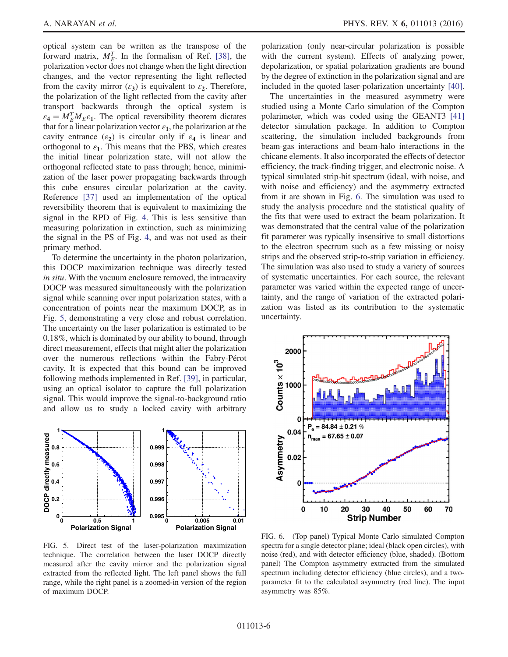optical system can be written as the transpose of the forward matrix,  $M_E^T$ . In the formalism of Ref. [\[38\]](#page-9-7), the polarization vector does not change when the light direction changes, and the vector representing the light reflected from the cavity mirror  $(\varepsilon_3)$  is equivalent to  $\varepsilon_2$ . Therefore, the polarization of the light reflected from the cavity after transport backwards through the optical system is  $\varepsilon_4 = M_E^T M_E \varepsilon_1$ . The optical reversibility theorem dictates that for a linear polarization vector  $\varepsilon_1$ , the polarization at the cavity entrance  $(\varepsilon_2)$  is circular only if  $\varepsilon_4$  is linear and orthogonal to  $\varepsilon_1$ . This means that the PBS, which creates the initial linear polarization state, will not allow the orthogonal reflected state to pass through; hence, minimization of the laser power propagating backwards through this cube ensures circular polarization at the cavity. Reference [\[37\]](#page-9-6) used an implementation of the optical reversibility theorem that is equivalent to maximizing the signal in the RPD of Fig. [4](#page-5-1). This is less sensitive than measuring polarization in extinction, such as minimizing the signal in the PS of Fig. [4,](#page-5-1) and was not used as their primary method.

To determine the uncertainty in the photon polarization, this DOCP maximization technique was directly tested in situ. With the vacuum enclosure removed, the intracavity DOCP was measured simultaneously with the polarization signal while scanning over input polarization states, with a concentration of points near the maximum DOCP, as in Fig. [5](#page-6-0), demonstrating a very close and robust correlation. The uncertainty on the laser polarization is estimated to be 0.18%, which is dominated by our ability to bound, through direct measurement, effects that might alter the polarization over the numerous reflections within the Fabry-Pérot cavity. It is expected that this bound can be improved following methods implemented in Ref. [\[39\],](#page-9-8) in particular, using an optical isolator to capture the full polarization signal. This would improve the signal-to-background ratio and allow us to study a locked cavity with arbitrary

<span id="page-6-0"></span>

FIG. 5. Direct test of the laser-polarization maximization technique. The correlation between the laser DOCP directly measured after the cavity mirror and the polarization signal extracted from the reflected light. The left panel shows the full range, while the right panel is a zoomed-in version of the region of maximum DOCP.

polarization (only near-circular polarization is possible with the current system). Effects of analyzing power, depolarization, or spatial polarization gradients are bound by the degree of extinction in the polarization signal and are included in the quoted laser-polarization uncertainty [\[40\]](#page-9-9).

The uncertainties in the measured asymmetry were studied using a Monte Carlo simulation of the Compton polarimeter, which was coded using the GEANT3 [\[41\]](#page-9-10) detector simulation package. In addition to Compton scattering, the simulation included backgrounds from beam-gas interactions and beam-halo interactions in the chicane elements. It also incorporated the effects of detector efficiency, the track-finding trigger, and electronic noise. A typical simulated strip-hit spectrum (ideal, with noise, and with noise and efficiency) and the asymmetry extracted from it are shown in Fig. [6](#page-6-1). The simulation was used to study the analysis procedure and the statistical quality of the fits that were used to extract the beam polarization. It was demonstrated that the central value of the polarization fit parameter was typically insensitive to small distortions to the electron spectrum such as a few missing or noisy strips and the observed strip-to-strip variation in efficiency. The simulation was also used to study a variety of sources of systematic uncertainties. For each source, the relevant parameter was varied within the expected range of uncertainty, and the range of variation of the extracted polarization was listed as its contribution to the systematic uncertainty.

<span id="page-6-1"></span>

FIG. 6. (Top panel) Typical Monte Carlo simulated Compton spectra for a single detector plane; ideal (black open circles), with noise (red), and with detector efficiency (blue, shaded). (Bottom panel) The Compton asymmetry extracted from the simulated spectrum including detector efficiency (blue circles), and a twoparameter fit to the calculated asymmetry (red line). The input asymmetry was 85%.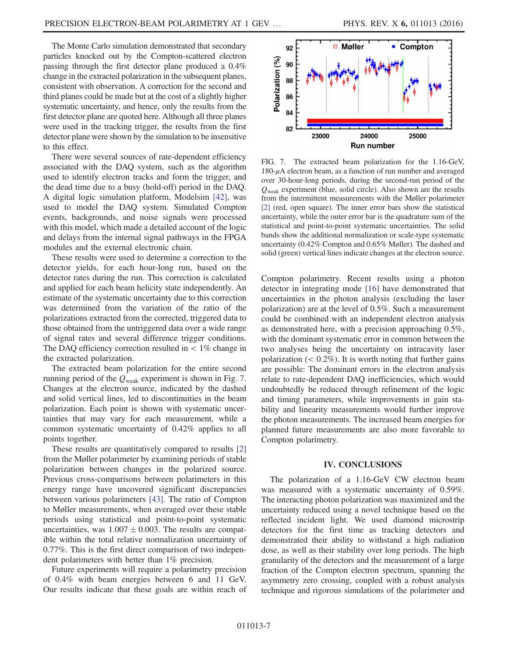The Monte Carlo simulation demonstrated that secondary particles knocked out by the Compton-scattered electron passing through the first detector plane produced a 0.4% change in the extracted polarization in the subsequent planes, consistent with observation. A correction for the second and third planes could be made but at the cost of a slightly higher systematic uncertainty, and hence, only the results from the first detector plane are quoted here. Although all three planes were used in the tracking trigger, the results from the first detector plane were shown by the simulation to be insensitive to this effect.

There were several sources of rate-dependent efficiency associated with the DAQ system, such as the algorithm used to identify electron tracks and form the trigger, and the dead time due to a busy (hold-off) period in the DAQ. A digital logic simulation platform, Modelsim [\[42\],](#page-9-11) was used to model the DAQ system. Simulated Compton events, backgrounds, and noise signals were processed with this model, which made a detailed account of the logic and delays from the internal signal pathways in the FPGA modules and the external electronic chain.

These results were used to determine a correction to the detector yields, for each hour-long run, based on the detector rates during the run. This correction is calculated and applied for each beam helicity state independently. An estimate of the systematic uncertainty due to this correction was determined from the variation of the ratio of the polarizations extracted from the corrected, triggered data to those obtained from the untriggered data over a wide range of signal rates and several difference trigger conditions. The DAO efficiency correction resulted in  $\lt 1\%$  change in the extracted polarization.

The extracted beam polarization for the entire second running period of the  $Q_{\text{weak}}$  experiment is shown in Fig. [7](#page-7-0). Changes at the electron source, indicated by the dashed and solid vertical lines, led to discontinuities in the beam polarization. Each point is shown with systematic uncertainties that may vary for each measurement, while a common systematic uncertainty of 0.42% applies to all points together.

These results are quantitatively compared to results [\[2\]](#page-8-2) from the Møller polarimeter by examining periods of stable polarization between changes in the polarized source. Previous cross-comparisons between polarimeters in this energy range have uncovered significant discrepancies between various polarimeters [\[43\].](#page-9-12) The ratio of Compton to Møller measurements, when averaged over these stable periods using statistical and point-to-point systematic uncertainties, was  $1.007 \pm 0.003$ . The results are compatible within the total relative normalization uncertainty of 0.77%. This is the first direct comparison of two independent polarimeters with better than 1% precision.

Future experiments will require a polarimetry precision of 0.4% with beam energies between 6 and 11 GeV. Our results indicate that these goals are within reach of

<span id="page-7-0"></span>

FIG. 7. The extracted beam polarization for the 1.16-GeV,  $180-\mu A$  electron beam, as a function of run number and averaged over 30-hour-long periods, during the second-run period of the  $Q_{\text{weak}}$  experiment (blue, solid circle). Also shown are the results from the intermittent measurements with the Møller polarimeter [\[2\]](#page-8-2) (red, open square). The inner error bars show the statistical uncertainty, while the outer error bar is the quadrature sum of the statistical and point-to-point systematic uncertainties. The solid bands show the additional normalization or scale-type systematic uncertainty (0.42% Compton and 0.65% Møller). The dashed and solid (green) vertical lines indicate changes at the electron source.

Compton polarimetry. Recent results using a photon detector in integrating mode [\[16\]](#page-8-8) have demonstrated that uncertainties in the photon analysis (excluding the laser polarization) are at the level of 0.5%. Such a measurement could be combined with an independent electron analysis as demonstrated here, with a precision approaching 0.5%, with the dominant systematic error in common between the two analyses being the uncertainty on intracavity laser polarization  $(< 0.2\%)$ . It is worth noting that further gains are possible: The dominant errors in the electron analysis relate to rate-dependent DAQ inefficiencies, which would undoubtedly be reduced through refinement of the logic and timing parameters, while improvements in gain stability and linearity measurements would further improve the photon measurements. The increased beam energies for planned future measurements are also more favorable to Compton polarimetry.

## IV. CONCLUSIONS

The polarization of a 1.16-GeV CW electron beam was measured with a systematic uncertainty of 0.59%. The interacting photon polarization was maximized and the uncertainty reduced using a novel technique based on the reflected incident light. We used diamond microstrip detectors for the first time as tracking detectors and demonstrated their ability to withstand a high radiation dose, as well as their stability over long periods. The high granularity of the detectors and the measurement of a large fraction of the Compton electron spectrum, spanning the asymmetry zero crossing, coupled with a robust analysis technique and rigorous simulations of the polarimeter and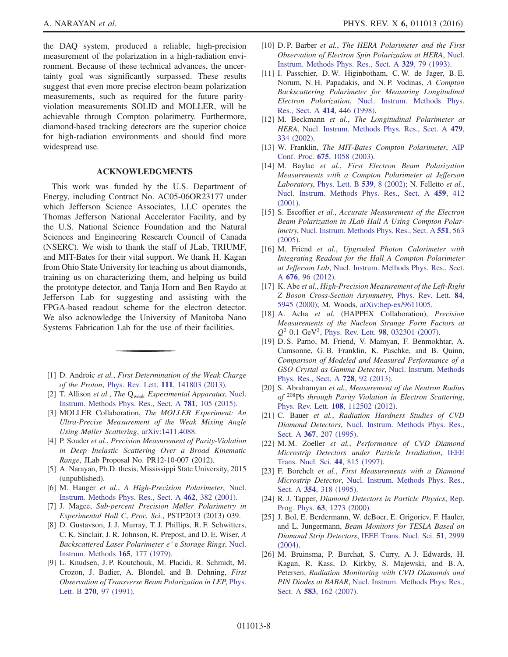the DAQ system, produced a reliable, high-precision measurement of the polarization in a high-radiation environment. Because of these technical advances, the uncertainty goal was significantly surpassed. These results suggest that even more precise electron-beam polarization measurements, such as required for the future parityviolation measurements SOLID and MOLLER, will be achievable through Compton polarimetry. Furthermore, diamond-based tracking detectors are the superior choice for high-radiation environments and should find more widespread use.

### ACKNOWLEDGMENTS

This work was funded by the U.S. Department of Energy, including Contract No. AC05-06OR23177 under which Jefferson Science Associates, LLC operates the Thomas Jefferson National Accelerator Facility, and by the U.S. National Science Foundation and the Natural Sciences and Engineering Research Council of Canada (NSERC). We wish to thank the staff of JLab, TRIUMF, and MIT-Bates for their vital support. We thank H. Kagan from Ohio State University for teaching us about diamonds, training us on characterizing them, and helping us build the prototype detector, and Tanja Horn and Ben Raydo at Jefferson Lab for suggesting and assisting with the FPGA-based readout scheme for the electron detector. We also acknowledge the University of Manitoba Nano Systems Fabrication Lab for the use of their facilities.

- <span id="page-8-2"></span><span id="page-8-0"></span>[1] D. Androic et al., First Determination of the Weak Charge of the Proton, Phys. Rev. Lett. 111[, 141803 \(2013\)](http://dx.doi.org/10.1103/PhysRevLett.111.141803).
- <span id="page-8-1"></span>[2] T. Allison et al., The Q<sub>weak</sub> Experimental Apparatus, [Nucl.](http://dx.doi.org/10.1016/j.nima.2015.01.023) [Instrum. Methods Phys. Res., Sect. A](http://dx.doi.org/10.1016/j.nima.2015.01.023) 781, 105 (2015).
- [3] MOLLER Collaboration, The MOLLER Experiment: An Ultra-Precise Measurement of the Weak Mixing Angle Using Møller Scattering, [arXiv:1411.4088.](http://arXiv.org/abs/1411.4088)
- [4] P. Souder et al., Precision Measurement of Parity-Violation in Deep Inelastic Scattering Over a Broad Kinematic Range, JLab Proposal No. PR12-10-007 (2012).
- <span id="page-8-3"></span>[5] A. Narayan, Ph.D. thesis, Mississippi State University, 2015 (unpublished).
- [6] M. Hauger et al., A High-Precision Polarimeter, [Nucl.](http://dx.doi.org/10.1016/S0168-9002(01)00197-8) [Instrum. Methods Phys. Res., Sect. A](http://dx.doi.org/10.1016/S0168-9002(01)00197-8) 462, 382 (2001).
- <span id="page-8-4"></span>[7] J. Magee, Sub-percent Precision Møller Polarimetry in Experimental Hall C, Proc. Sci., PSTP2013 (2013) 039.
- [8] D. Gustavson, J. J. Murray, T. J. Phillips, R. F. Schwitters, C. K. Sinclair, J. R. Johnson, R. Prepost, and D. E. Wiser, A Backscattered Laser Polarimeter  $e^+e$  Storage Rings, [Nucl.](http://dx.doi.org/10.1016/0029-554X(79)90268-4) [Instrum. Methods](http://dx.doi.org/10.1016/0029-554X(79)90268-4) 165, 177 (1979).
- [9] L. Knudsen, J. P. Koutchouk, M. Placidi, R. Schmidt, M. Crozon, J. Badier, A. Blondel, and B. Dehning, First Observation of Transverse Beam Polarization in LEP, [Phys.](http://dx.doi.org/10.1016/0370-2693(91)91545-7) Lett. B 270[, 97 \(1991\)](http://dx.doi.org/10.1016/0370-2693(91)91545-7).
- [10] D. P. Barber et al., The HERA Polarimeter and the First Observation of Electron Spin Polarization at HERA, [Nucl.](http://dx.doi.org/10.1016/0168-9002(93)90924-7) [Instrum. Methods Phys. Res., Sect. A](http://dx.doi.org/10.1016/0168-9002(93)90924-7) 329, 79 (1993).
- [11] I. Passchier, D. W. Higinbotham, C. W. de Jager, B. E. Norum, N. H. Papadakis, and N. P. Vodinas, A Compton Backscattering Polarimeter for Measuring Longitudinal Electron Polarization, [Nucl. Instrum. Methods Phys.](http://dx.doi.org/10.1016/S0168-9002(98)00630-5) [Res., Sect. A](http://dx.doi.org/10.1016/S0168-9002(98)00630-5) 414, 446 (1998).
- [12] M. Beckmann et al., The Longitudinal Polarimeter at HERA, [Nucl. Instrum. Methods Phys. Res., Sect. A](http://dx.doi.org/10.1016/S0168-9002(01)00901-9) 479, [334 \(2002\)](http://dx.doi.org/10.1016/S0168-9002(01)00901-9).
- [13] W. Franklin, The MIT-Bates Compton Polarimeter, [AIP](http://dx.doi.org/10.1063/1.1607296) Conf. Proc. 675[, 1058 \(2003\).](http://dx.doi.org/10.1063/1.1607296)
- <span id="page-8-12"></span>[14] M. Baylac et al., First Electron Beam Polarization Measurements with a Compton Polarimeter at Jefferson Laboratory, [Phys. Lett. B](http://dx.doi.org/10.1016/S0370-2693(02)02091-9) 539, 8 (2002); N. Felletto et al., [Nucl. Instrum. Methods Phys. Res., Sect. A](http://dx.doi.org/10.1016/S0168-9002(00)01049-4) 459, 412 [\(2001\).](http://dx.doi.org/10.1016/S0168-9002(00)01049-4)
- [15] S. Escoffier et al., Accurate Measurement of the Electron Beam Polarization in JLab Hall A Using Compton Polar-imetry, [Nucl. Instrum. Methods Phys. Res., Sect. A](http://dx.doi.org/10.1016/j.nima.2005.05.067) 551, 563 [\(2005\).](http://dx.doi.org/10.1016/j.nima.2005.05.067)
- <span id="page-8-8"></span>[16] M. Friend et al., Upgraded Photon Calorimeter with Integrating Readout for the Hall A Compton Polarimeter at Jefferson Lab, [Nucl. Instrum. Methods Phys. Res., Sect.](http://dx.doi.org/10.1016/j.nima.2012.02.041) A 676[, 96 \(2012\).](http://dx.doi.org/10.1016/j.nima.2012.02.041)
- <span id="page-8-5"></span>[17] K. Abe et al., High-Precision Measurement of the Left-Right Z Boson Cross-Section Asymmetry, [Phys. Rev. Lett.](http://dx.doi.org/10.1103/PhysRevLett.84.5945) 84, [5945 \(2000\)](http://dx.doi.org/10.1103/PhysRevLett.84.5945); M. Woods, [arXiv:hep-ex/9611005.](http://arXiv.org/abs/hep-ex/9611005)
- <span id="page-8-6"></span>[18] A. Acha et al. (HAPPEX Collaboration), Precision Measurements of the Nucleon Strange Form Factors at  $Q^2$  0.1 GeV<sup>2</sup>, Phys. Rev. Lett. 98[, 032301 \(2007\).](http://dx.doi.org/10.1103/PhysRevLett.98.032301)
- <span id="page-8-7"></span>[19] D. S. Parno, M. Friend, V. Mamyan, F. Benmokhtar, A. Camsonne, G. B. Franklin, K. Paschke, and B. Quinn, Comparison of Modeled and Measured Performance of a GSO Crystal as Gamma Detector, [Nucl. Instrum. Methods](http://dx.doi.org/10.1016/j.nima.2013.05.154) [Phys. Res., Sect. A](http://dx.doi.org/10.1016/j.nima.2013.05.154) 728, 92 (2013).
- [20] S. Abrahamyan et al., Measurement of the Neutron Radius of <sup>208</sup>Pb through Parity Violation in Electron Scattering, Phys. Rev. Lett. 108[, 112502 \(2012\).](http://dx.doi.org/10.1103/PhysRevLett.108.112502)
- <span id="page-8-9"></span>[21] C. Bauer et al., Radiation Hardness Studies of CVD Diamond Detectors, [Nucl. Instrum. Methods Phys. Res.,](http://dx.doi.org/10.1016/0168-9002(95)00545-5) Sect. A 367[, 207 \(1995\)](http://dx.doi.org/10.1016/0168-9002(95)00545-5).
- [22] M.M. Zoeller et al., Performance of CVD Diamond Microstrip Detectors under Particle Irradiation, [IEEE](http://dx.doi.org/10.1109/23.603758) [Trans. Nucl. Sci.](http://dx.doi.org/10.1109/23.603758) 44, 815 (1997).
- <span id="page-8-10"></span>[23] F. Borchelt et al., First Measurements with a Diamond Microstrip Detector, [Nucl. Instrum. Methods Phys. Res.,](http://dx.doi.org/10.1016/0168-9002(94)01016-1) Sect. A 354[, 318 \(1995\)](http://dx.doi.org/10.1016/0168-9002(94)01016-1).
- <span id="page-8-11"></span>[24] R. J. Tapper, *Diamond Detectors in Particle Physics*, [Rep.](http://dx.doi.org/10.1088/0034-4885/63/8/203) Prog. Phys. 63[, 1273 \(2000\)](http://dx.doi.org/10.1088/0034-4885/63/8/203).
- [25] J. Bol, E. Berdermann, W. deBoer, E. Grigoriev, F. Hauler, and L. Jungermann, Beam Monitors for TESLA Based on Diamond Strip Detectors, [IEEE Trans. Nucl. Sci.](http://dx.doi.org/10.1109/TNS.2004.839128) 51, 2999 [\(2004\).](http://dx.doi.org/10.1109/TNS.2004.839128)
- [26] M. Bruinsma, P. Burchat, S. Curry, A. J. Edwards, H. Kagan, R. Kass, D. Kirkby, S. Majewski, and B. A. Petersen, Radiation Monitoring with CVD Diamonds and PIN Diodes at BABAR, [Nucl. Instrum. Methods Phys. Res.,](http://dx.doi.org/10.1016/j.nima.2007.08.185) Sect. A **583**[, 162 \(2007\)](http://dx.doi.org/10.1016/j.nima.2007.08.185).